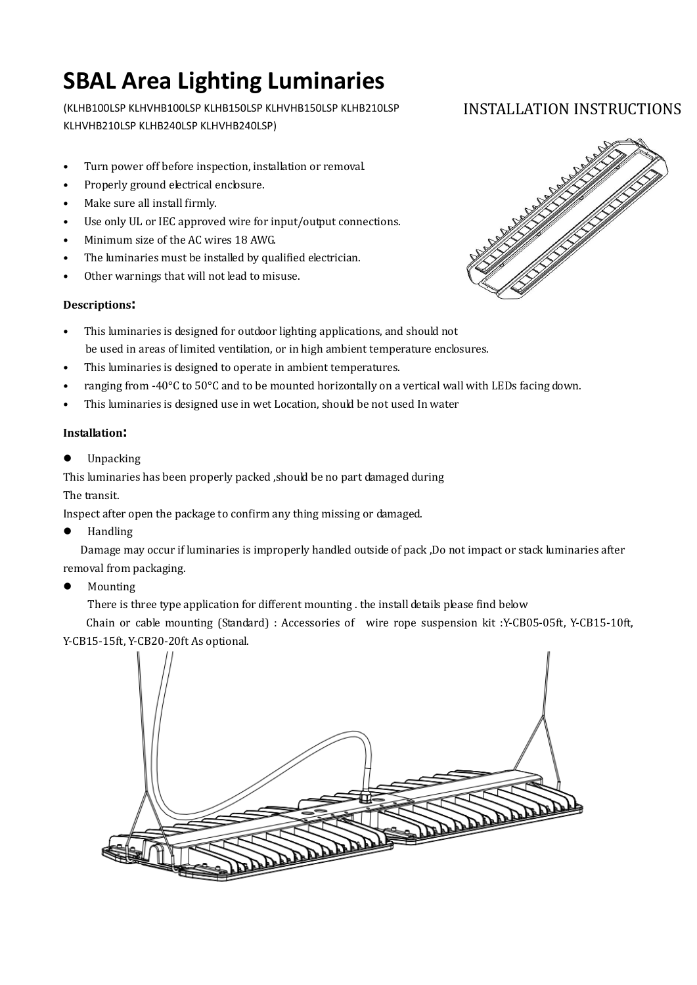# **SBAL Area Lighting Luminaries**

(KLHB100LSP KLHVHB100LSP KLHB150LSP KLHVHB150LSP KLHB210LSP KLHVHB210LSP KLHB240LSP KLHVHB240LSP)

- Turn power off before inspection, installation or removal.
- Properly ground electrical enclosure.
- Make sure all install firmly.
- Use only UL or IEC approved wire for input/output connections.
- Minimum size of the AC wires 18 AWG.
- The luminaries must be installed by qualified electrician.
- Other warnings that will not lead to misuse.

### **Descriptions:**

- This luminaries is designed for outdoor lighting applications, and should not be used in areas of limited ventilation, or in high ambient temperature enclosures.
- This luminaries is designed to operate in ambient temperatures.
- ranging from -40°C to 50°C and to be mounted horizontally on a vertical wall with LEDs facing down.
- This luminaries is designed use in wet Location, should be not used In water

### **Installation:**

**•** Unpacking

This luminaries has been properly packed ,should be no part damaged during The transit.

Inspect after open the package to confirm any thing missing or damaged.

**•** Handling

Damage may occur if luminaries is improperly handled outside of pack ,Do not impact or stack luminaries after removal from packaging.

• Mounting

There is three type application for different mounting . the install details please find below

Chain or cable mounting (Standard) : Accessories of wire rope suspension kit :Y-CB05-05ft, Y-CB15-10ft, Y-CB15-15ft, Y-CB20-20ft As optional.



## INSTALLATION INSTRUCTIONS